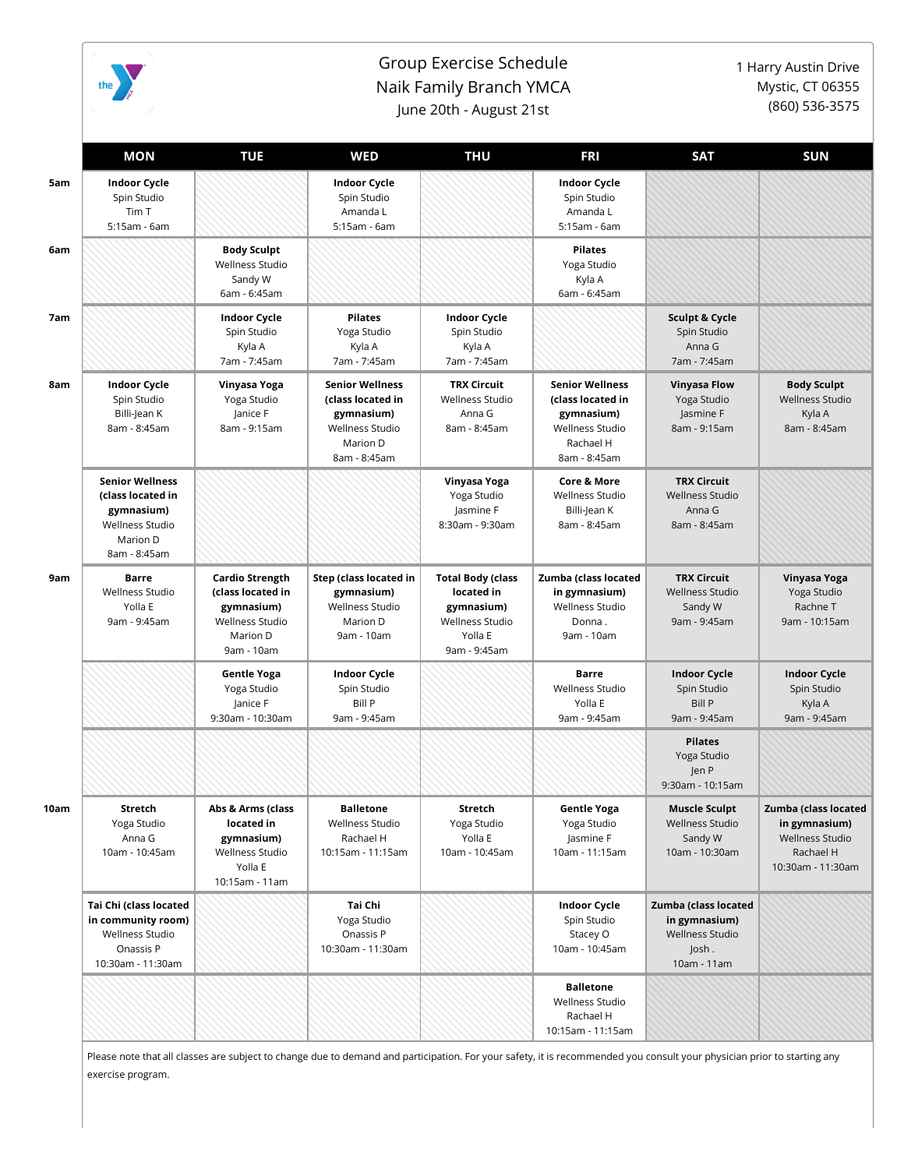

## Group Exercise Schedule Naik Family Branch YMCA June 20th - August 21st

1 Harry Austin Drive Mystic, CT 06355 (860) 536-3575

|      | <b>MON</b>                                                                                                      | <b>TUE</b>                                                                                             | <b>WED</b>                                                                                               | <b>THU</b>                                                                                                | <b>FRI</b>                                                                                                | <b>SAT</b>                                                                              | <b>SUN</b>                                                                                 |
|------|-----------------------------------------------------------------------------------------------------------------|--------------------------------------------------------------------------------------------------------|----------------------------------------------------------------------------------------------------------|-----------------------------------------------------------------------------------------------------------|-----------------------------------------------------------------------------------------------------------|-----------------------------------------------------------------------------------------|--------------------------------------------------------------------------------------------|
| 5am  | <b>Indoor Cycle</b><br>Spin Studio<br>Tim T<br>5:15am - 6am                                                     |                                                                                                        | <b>Indoor Cycle</b><br>Spin Studio<br>Amanda L<br>5:15am - 6am                                           |                                                                                                           | <b>Indoor Cycle</b><br>Spin Studio<br>Amanda L<br>5:15am - 6am                                            |                                                                                         |                                                                                            |
|      |                                                                                                                 | <b>Body Sculpt</b><br>Wellness Studio<br>Sandy W<br>6am - 6:45am                                       |                                                                                                          |                                                                                                           | <b>Pilates</b><br>Yoga Studio<br>Kyla A<br>6am - 6:45am                                                   |                                                                                         |                                                                                            |
|      |                                                                                                                 | <b>Indoor Cycle</b><br>Spin Studio<br>Kyla A<br>7am - 7:45am                                           | <b>Pilates</b><br>Yoga Studio<br>Kyla A<br>7am - 7:45am                                                  | <b>Indoor Cycle</b><br>Spin Studio<br>Kyla A<br>7am - 7:45am                                              |                                                                                                           | <b>Sculpt &amp; Cycle</b><br>Spin Studio<br>Anna G<br>7am - 7:45am                      |                                                                                            |
| 8am  | <b>Indoor Cycle</b><br>Spin Studio<br>Billi-Jean K<br>8am - 8:45am                                              | Vinyasa Yoga<br>Yoga Studio<br>Janice F<br>8am - 9:15am                                                | <b>Senior Wellness</b><br>(class located in<br>gymnasium)<br>Wellness Studio<br>Marion D<br>8am - 8:45am | <b>TRX Circuit</b><br><b>Wellness Studio</b><br>Anna G<br>8am - 8:45am                                    | <b>Senior Wellness</b><br>(class located in<br>gymnasium)<br>Wellness Studio<br>Rachael H<br>8am - 8:45am | <b>Vinyasa Flow</b><br>Yoga Studio<br>Jasmine F<br>8am - 9:15am                         | <b>Body Sculpt</b><br><b>Wellness Studio</b><br>Kyla A<br>8am - 8:45am                     |
|      | <b>Senior Wellness</b><br>(class located in<br>gymnasium)<br><b>Wellness Studio</b><br>Marion D<br>8am - 8:45am |                                                                                                        |                                                                                                          | Vinyasa Yoga<br>Yoga Studio<br>Jasmine F<br>8:30am - 9:30am                                               | <b>Core &amp; More</b><br>Wellness Studio<br>Billi-Jean K<br>8am - 8:45am                                 | <b>TRX Circuit</b><br><b>Wellness Studio</b><br>Anna G<br>8am - 8:45am                  |                                                                                            |
|      | <b>Barre</b><br><b>Wellness Studio</b><br>Yolla E<br>9am - 9:45am                                               | <b>Cardio Strength</b><br>(class located in<br>gymnasium)<br>Wellness Studio<br>Marion D<br>9am - 10am | Step (class located in<br>gymnasium)<br>Wellness Studio<br>Marion D<br>9am - 10am                        | <b>Total Body (class</b><br>located in<br>gymnasium)<br><b>Wellness Studio</b><br>Yolla E<br>9am - 9:45am | Zumba (class located<br>in gymnasium)<br>Wellness Studio<br>Donna.<br>9am - 10am                          | <b>TRX Circuit</b><br><b>Wellness Studio</b><br>Sandy W<br>9am - 9:45am                 | Vinyasa Yoga<br>Yoga Studio<br>Rachne T<br>9am - 10:15am                                   |
|      |                                                                                                                 | <b>Gentle Yoga</b><br>Yoga Studio<br>Janice F<br>9:30am - 10:30am                                      | <b>Indoor Cycle</b><br>Spin Studio<br>Bill P<br>9am - 9:45am                                             |                                                                                                           | Barre<br>Wellness Studio<br>Yolla E<br>9am - 9:45am                                                       | <b>Indoor Cycle</b><br>Spin Studio<br><b>Bill P</b><br>9am - 9:45am                     | <b>Indoor Cycle</b><br>Spin Studio<br>Kyla A<br>9am - 9:45am                               |
|      |                                                                                                                 |                                                                                                        |                                                                                                          |                                                                                                           |                                                                                                           | <b>Pilates</b><br>Yoga Studio<br>Jen P<br>9:30am - 10:15am                              |                                                                                            |
| 10am | Stretch<br>Yoga Studio<br>Anna G<br>10am - 10:45am                                                              | Abs & Arms (class<br>located in<br>gymnasium)<br>Wellness Studio<br>Yolla E<br>10:15am - 11am          | <b>Balletone</b><br>Wellness Studio<br>Rachael H<br>10:15am - 11:15am                                    | Stretch<br>Yoga Studio<br>Yolla E<br>10am - 10:45am                                                       | <b>Gentle Yoga</b><br>Yoga Studio<br>Jasmine F<br>10am - 11:15am                                          | <b>Muscle Sculpt</b><br><b>Wellness Studio</b><br>Sandy W<br>10am - 10:30am             | Zumba (class located<br>in gymnasium)<br>Wellness Studio<br>Rachael H<br>10:30am - 11:30am |
|      | Tai Chi (class located<br>in community room)<br>Wellness Studio<br>Onassis P<br>10:30am - 11:30am               |                                                                                                        | Tai Chi<br>Yoga Studio<br>Onassis P<br>10:30am - 11:30am                                                 |                                                                                                           | <b>Indoor Cycle</b><br>Spin Studio<br>Stacey O<br>10am - 10:45am                                          | Zumba (class located<br>in gymnasium)<br><b>Wellness Studio</b><br>Josh.<br>10am - 11am |                                                                                            |
|      |                                                                                                                 |                                                                                                        |                                                                                                          |                                                                                                           | <b>Balletone</b><br>Wellness Studio<br>Rachael H<br>10:15am - 11:15am                                     |                                                                                         |                                                                                            |

Please note that all classes are subject to change due to demand and participation. For your safety, it is recommended you consult your physician prior to starting any exercise program.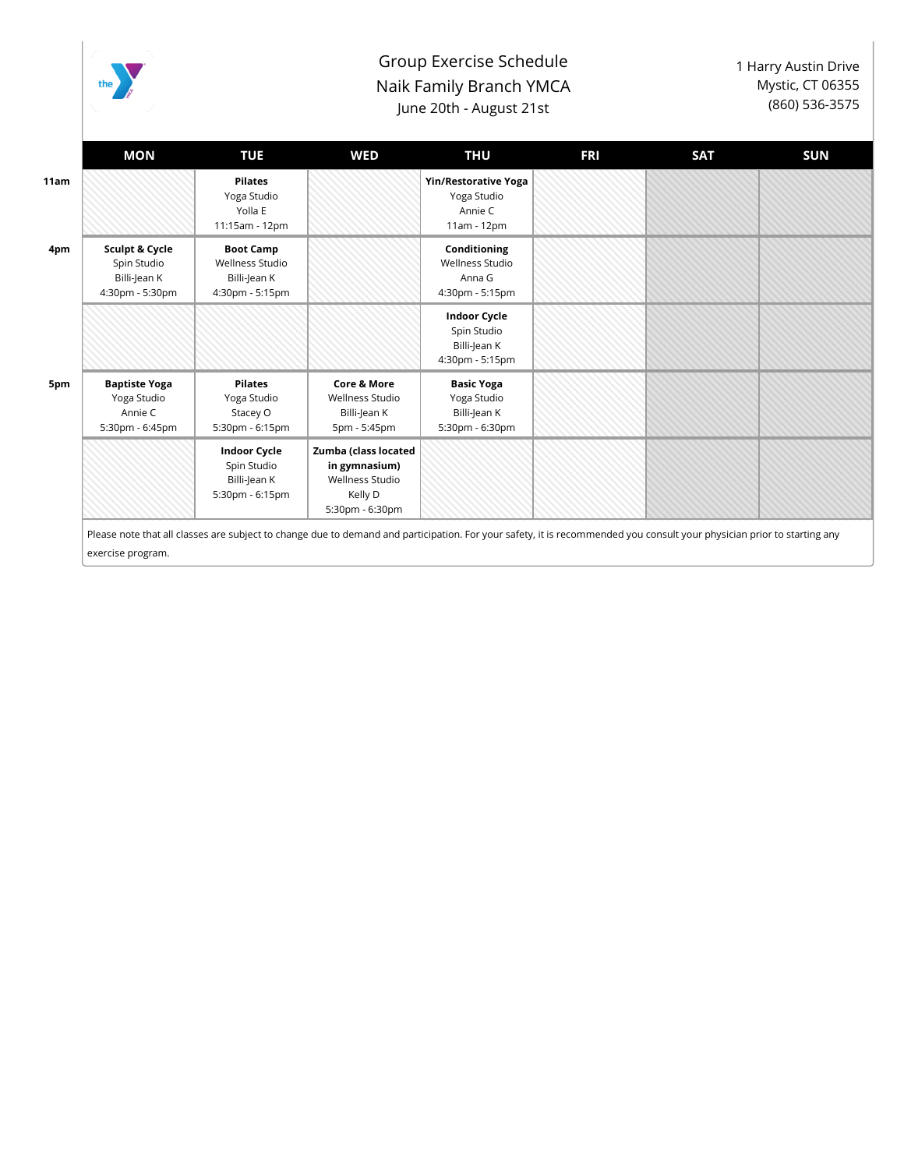

## Group Exercise Schedule Naik Family Branch YMCA June 20th - August 21st

1 Harry Austin Drive Mystic, CT 06355 (860) 536-3575

| <b>MON</b>                                                        | <b>TUE</b>                                                             | WED                                                                                           | <b>THU</b>                                                            | <b>FRI</b> | <b>SAT</b> | <b>SUN</b> |
|-------------------------------------------------------------------|------------------------------------------------------------------------|-----------------------------------------------------------------------------------------------|-----------------------------------------------------------------------|------------|------------|------------|
|                                                                   | <b>Pilates</b><br>Yoga Studio<br>Yolla E<br>11:15am - 12pm             |                                                                                               | <b>Yin/Restorative Yoga</b><br>Yoga Studio<br>Annie C<br>11am - 12pm  |            |            |            |
| Sculpt & Cycle<br>Spin Studio<br>Billi-Jean K<br>4:30pm - 5:30pm  | <b>Boot Camp</b><br>Wellness Studio<br>Billi-Jean K<br>4:30pm - 5:15pm |                                                                                               | Conditioning<br>Wellness Studio<br>Anna G<br>4:30pm - 5:15pm          |            |            |            |
|                                                                   |                                                                        |                                                                                               | <b>Indoor Cycle</b><br>Spin Studio<br>Billi-Jean K<br>4:30pm - 5:15pm |            |            |            |
| <b>Baptiste Yoga</b><br>Yoga Studio<br>Annie C<br>5:30pm - 6:45pm | <b>Pilates</b><br>Yoga Studio<br>Stacey O<br>5:30pm - 6:15pm           | <b>Core &amp; More</b><br>Wellness Studio<br>Billi-Jean K<br>5pm - 5:45pm                     | <b>Basic Yoga</b><br>Yoga Studio<br>Billi-Jean K<br>5:30pm - 6:30pm   |            |            |            |
|                                                                   | <b>Indoor Cycle</b><br>Spin Studio<br>Billi-Jean K<br>5:30pm - 6:15pm  | Zumba (class located<br>in gymnasium)<br><b>Wellness Studio</b><br>Kelly D<br>5:30pm - 6:30pm |                                                                       |            |            |            |
|                                                                   |                                                                        |                                                                                               |                                                                       |            |            |            |

exercise program.